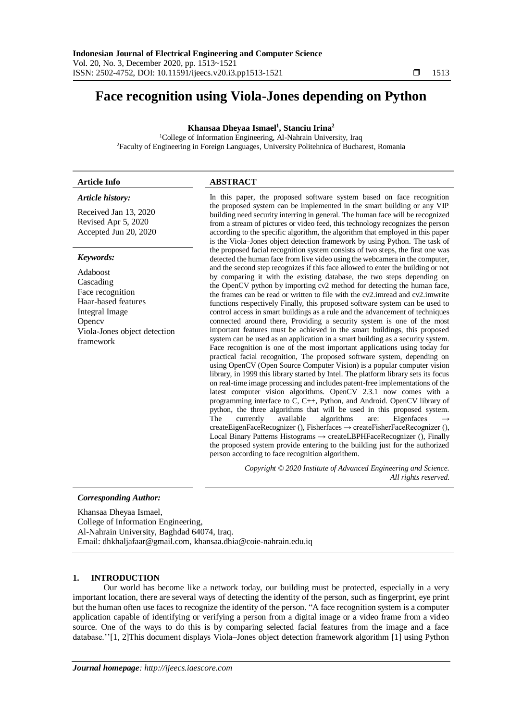# **Face recognition using Viola-Jones depending on Python**

# **Khansaa Dheyaa Ismael<sup>1</sup> , Stanciu Irina<sup>2</sup>**

<sup>1</sup>College of Information Engineering, Al-Nahrain University, Iraq <sup>2</sup>Faculty of Engineering in Foreign Languages, University Politehnica of Bucharest, Romania

# **Article Info ABSTRACT**

### *Article history:*

Received Jan 13, 2020 Revised Apr 5, 2020 Accepted Jun 20, 2020

#### *Keywords:*

Adaboost Cascading Face recognition Haar-based features Integral Image **Opency** Viola-Jones object detection framework

In this paper, the proposed software system based on face recognition the proposed system can be implemented in the smart building or any VIP building need security interring in general. The human face will be recognized from a stream of pictures or video feed, this technology recognizes the person according to the specific algorithm, the algorithm that employed in this paper is the Viola–Jones object detection framework by using Python. The task of the proposed facial recognition system consists of two steps, the first one was detected the human face from live video using the webcamera in the computer, and the second step recognizes if this face allowed to enter the building or not by comparing it with the existing database, the two steps depending on the OpenCV python by importing cv2 method for detecting the human face, the frames can be read or written to file with the cv2.imread and cv2.imwrite functions respectively Finally, this proposed software system can be used to control access in smart buildings as a rule and the advancement of techniques connected around there, Providing a security system is one of the most important features must be achieved in the smart buildings, this proposed system can be used as an application in a smart building as a security system. Face recognition is one of the most important applications using today for practical facial recognition, The proposed software system, depending on using OpenCV (Open Source Computer Vision) is a popular computer vision library, in 1999 this library started by Intel. The platform library sets its focus on real-time image processing and includes patent-free implementations of the latest computer vision algorithms. OpenCV 2.3.1 now comes with a programming interface to C, C++, Python, and Android. OpenCV library of python, the three algorithms that will be used in this proposed system. The currently available algorithms are: Eigenfaces createEigenFaceRecognizer (), Fisherfaces  $\rightarrow$  createFisherFaceRecognizer (), Local Binary Patterns Histograms  $\rightarrow$  createLBPHFaceRecognizer (), Finally the proposed system provide entering to the building just for the authorized person according to face recognition algorithem.

> *Copyright © 2020 Institute of Advanced Engineering and Science. All rights reserved.*

# *Corresponding Author:*

Khansaa Dheyaa Ismael, College of Information Engineering, Al-Nahrain University, Baghdad 64074, Iraq. Email: dhkhaljafaar@gmail.com, khansaa.dhia@coie-nahrain.edu.iq

# **1. INTRODUCTION**

Our world has become like a network today, our building must be protected, especially in a very important location, there are several ways of detecting the identity of the person, such as fingerprint, eye print but the human often use faces to recognize the identity of the person. "A face recognition system is a computer application capable of identifying or verifying a person from a digital image or a video frame from a video source. One of the ways to do this is by comparing selected facial features from the image and a face database.''[1, 2]This document displays Viola–Jones object detection framework algorithm [1] using Python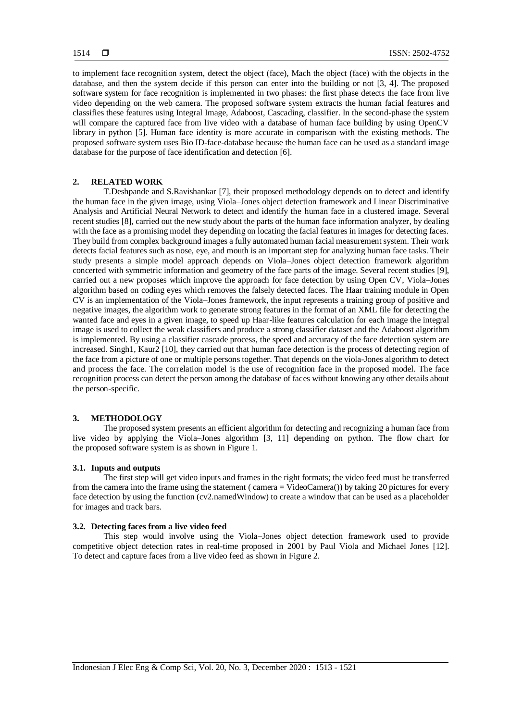to implement face recognition system, detect the object (face), Mach the object (face) with the objects in the database, and then the system decide if this person can enter into the building or not [3, 4]. The proposed software system for face recognition is implemented in two phases: the first phase detects the face from live video depending on the web camera. The proposed software system extracts the human facial features and classifies these features using Integral Image, Adaboost, Cascading, classifier. In the second-phase the system will compare the captured face from live video with a database of human face building by using OpenCV library in python [5]. Human face identity is more accurate in comparison with the existing methods. The proposed software system uses Bio ID-face-database because the human face can be used as a standard image database for the purpose of face identification and detection [6].

# **2. RELATED WORK**

T.Deshpande and S.Ravishankar [7], their proposed methodology depends on to detect and identify the human face in the given image, using Viola–Jones object detection framework and Linear Discriminative Analysis and Artificial Neural Network to detect and identify the human face in a clustered image. Several recent studies [8], carried out the new study about the parts of the human face information analyzer, by dealing with the face as a promising model they depending on locating the facial features in images for detecting faces. They build from complex background images a fully automated human facial measurement system. Their work detects facial features such as nose, eye, and mouth is an important step for analyzing human face tasks. Their study presents a simple model approach depends on Viola–Jones object detection framework algorithm concerted with symmetric information and geometry of the face parts of the image. Several recent studies [9], carried out a new proposes which improve the approach for face detection by using Open CV, Viola–Jones algorithm based on coding eyes which removes the falsely detected faces. The Haar training module in Open CV is an implementation of the Viola–Jones framework, the input represents a training group of positive and negative images, the algorithm work to generate strong features in the format of an XML file for detecting the wanted face and eyes in a given image, to speed up Haar-like features calculation for each image the integral image is used to collect the weak classifiers and produce a strong classifier dataset and the Adaboost algorithm is implemented. By using a classifier cascade process, the speed and accuracy of the face detection system are increased. Singh1, Kaur2 [10], they carried out that human face detection is the process of detecting region of the face from a picture of one or multiple persons together. That depends on the viola-Jones algorithm to detect and process the face. The correlation model is the use of recognition face in the proposed model. The face recognition process can detect the person among the database of faces without knowing any other details about the person-specific.

# **3. METHODOLOGY**

The proposed system presents an efficient algorithm for detecting and recognizing a human face from live video by applying the Viola–Jones algorithm [3, 11] depending on python. The flow chart for the proposed software system is as shown in Figure 1.

# **3.1. Inputs and outputs**

The first step will get video inputs and frames in the right formats; the video feed must be transferred from the camera into the frame using the statement ( camera = VideoCamera()) by taking 20 pictures for every face detection by using the function (cv2.namedWindow) to create a window that can be used as a placeholder for images and track bars.

#### **3.2. Detecting faces from a live video feed**

This step would involve using the Viola–Jones object detection framework used to provide competitive object detection rates in real-time proposed in 2001 by Paul Viola and Michael Jones [12]. To detect and capture faces from a live video feed as shown in Figure 2.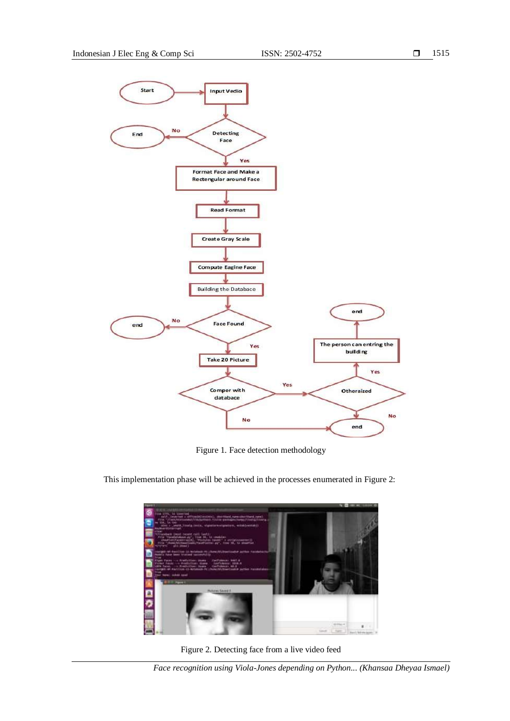

Figure 1. Face detection methodology



This implementation phase will be achieved in the processes enumerated in Figure 2:

Figure 2. Detecting face from a live video feed

*Face recognition using Viola-Jones depending on Python... (Khansaa Dheyaa Ismael)*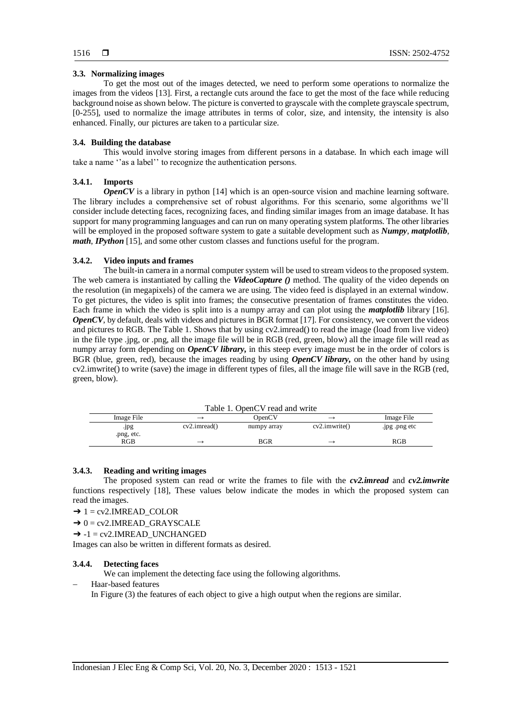## **3.3. Normalizing images**

To get the most out of the images detected, we need to perform some operations to normalize the images from the videos [13]. First, a rectangle cuts around the face to get the most of the face while reducing background noise as shown below. The picture is converted to grayscale with the complete grayscale spectrum, [0-255], used to normalize the image attributes in terms of color, size, and intensity, the intensity is also enhanced. Finally, our pictures are taken to a particular size.

#### **3.4. Building the database**

This would involve storing images from different persons in a database. In which each image will take a name ''as a label'' to recognize the authentication persons.

#### **3.4.1. Imports**

*OpenCV* is a library in python [14] which is an open-source vision and machine learning software. The library includes a comprehensive set of robust algorithms. For this scenario, some algorithms we'll consider include detecting faces, recognizing faces, and finding similar images from an image database. It has support for many programming languages and can run on many operating system platforms. The other libraries will be employed in the proposed software system to gate a suitable development such as *Numpy*, *matplotlib*, *math*, *IPython* [15], and some other custom classes and functions useful for the program.

#### **3.4.2. Video inputs and frames**

The built-in camera in a normal computer system will be used to stream videos to the proposed system. The web camera is instantiated by calling the *VideoCapture ()* method. The quality of the video depends on the resolution (in megapixels) of the camera we are using. The video feed is displayed in an external window. To get pictures, the video is split into frames; the consecutive presentation of frames constitutes the video. Each frame in which the video is split into is a numpy array and can plot using the *matplotlib* library [16]. *OpenCV*, by default, deals with videos and pictures in BGR format [17]. For consistency, we convert the videos and pictures to RGB. The Table 1. Shows that by using cv2.imread() to read the image (load from live video) in the file type .jpg, or .png, all the image file will be in RGB (red, green, blow) all the image file will read as numpy array form depending on *OpenCV library,* in this steep every image must be in the order of colors is BGR (blue, green, red), because the images reading by using *OpenCV library,* on the other hand by using cv2.imwrite() to write (save) the image in different types of files, all the image file will save in the RGB (red, green, blow).

Table 1. OpenCV read and write

| Image File         | $\rightarrow$            | OpenCV      | $\overline{\phantom{0}}$ | Image File    |
|--------------------|--------------------------|-------------|--------------------------|---------------|
| .jpg<br>.png, etc. | $cv2.$ imread $()$       | numpy array | $cv2.$ <i>imwrite()</i>  | .jpg .png etc |
| RGB                | $\overline{\phantom{0}}$ | BGR         |                          | RGB           |

#### **3.4.3. Reading and writing images**

The proposed system can read or write the frames to file with the *cv2.imread* and *cv2.imwrite* functions respectively [18], These values below indicate the modes in which the proposed system can read the images.

- $\rightarrow$  1 = cv2.IMREAD\_COLOR
- $\rightarrow$  0 = cv2.IMREAD GRAYSCALE

 $\rightarrow$  -1 = cv2.IMREAD\_UNCHANGED

Images can also be written in different formats as desired.

#### **3.4.4. Detecting faces**

We can implement the detecting face using the following algorithms.

Haar-based features

In Figure (3) the features of each object to give a high output when the regions are similar.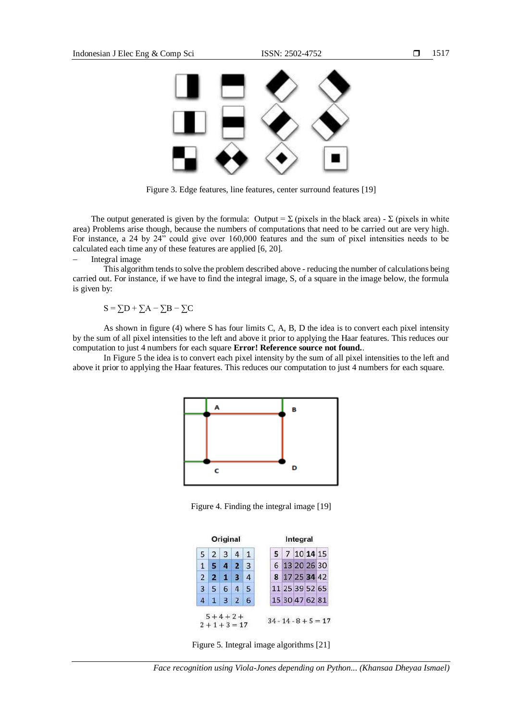

Figure 3. Edge features, line features, center surround features [19]

The output generated is given by the formula: Output =  $\Sigma$  (pixels in the black area) -  $\Sigma$  (pixels in white area) Problems arise though, because the numbers of computations that need to be carried out are very high. For instance, a 24 by 24" could give over 160,000 features and the sum of pixel intensities needs to be calculated each time any of these features are applied [6, 20].

### Integral image

This algorithm tends to solve the problem described above - reducing the number of calculations being carried out. For instance, if we have to find the integral image, S, of a square in the image below, the formula is given by:

 $S = \sum D + \sum A - \sum B - \sum C$ 

As shown in figure (4) where S has four limits C, A, B, D the idea is to convert each pixel intensity by the sum of all pixel intensities to the left and above it prior to applying the Haar features. This reduces our computation to just 4 numbers for each square **Error! Reference source not found.**.

In Figure 5 the idea is to convert each pixel intensity by the sum of all pixel intensities to the left and above it prior to applying the Haar features. This reduces our computation to just 4 numbers for each square.



Figure 4. Finding the integral image [19]

|                   | 5 2 3 4 1 |            |  | 5 7 10 14 15   |  |
|-------------------|-----------|------------|--|----------------|--|
|                   | 5 4 2 3   |            |  | 6 13 20 26 30  |  |
| $2 \mid 2 \mid 1$ |           | $3 \mid 4$ |  | 8 17 25 34 42  |  |
|                   | 3 5 6 4 5 |            |  | 11 25 39 52 65 |  |
|                   | 4 1 3 2 6 |            |  | 15 30 47 62 81 |  |

Figure 5. Integral image algorithms [21]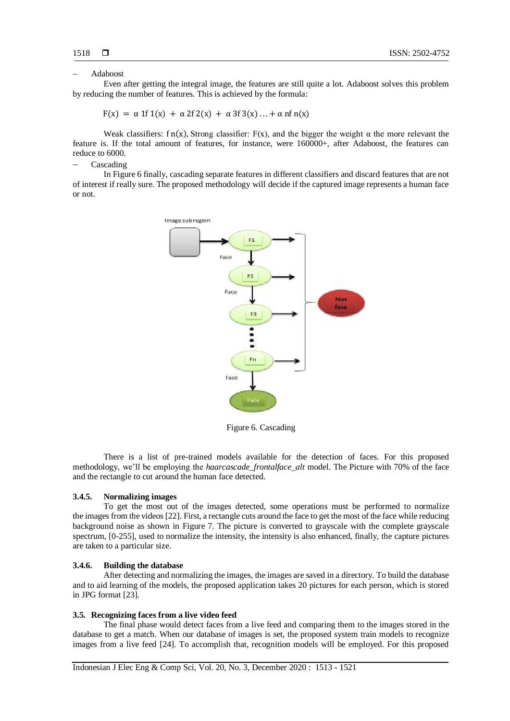#### Adaboost

Even after getting the integral image, the features are still quite a lot. Adaboost solves this problem by reducing the number of features. This is achieved by the formula:

 $F(x) = \alpha 1f 1(x) + \alpha 2f 2(x) + \alpha 3f 3(x) ... + \alpha nf n(x)$ 

Weak classifiers: f n(x), Strong classifier: F(x), and the bigger the weight  $\alpha$  the more relevant the feature is. If the total amount of features, for instance, were 160000+, after Adaboost, the features can reduce to 6000.

Cascading

In Figure 6 finally, cascading separate features in different classifiers and discard features that are not of interest if really sure. The proposed methodology will decide if the captured image represents a human face or not.



Figure 6. Cascading

There is a list of pre-trained models available for the detection of faces. For this proposed methodology, we'll be employing the *haarcascade\_frontalface\_alt* model. The Picture with 70% of the face and the rectangle to cut around the human face detected.

#### **3.4.5. Normalizing images**

To get the most out of the images detected, some operations must be performed to normalize the images from the videos [22]. First, a rectangle cuts around the face to get the most of the face while reducing background noise as shown in Figure 7. The picture is converted to grayscale with the complete grayscale spectrum, [0-255], used to normalize the intensity, the intensity is also enhanced, finally, the capture pictures are taken to a particular size.

#### **3.4.6. Building the database**

After detecting and normalizing the images, the images are saved in a directory. To build the database and to aid learning of the models, the proposed application takes 20 pictures for each person, which is stored in JPG format [23].

#### **3.5. Recognizing faces from a live video feed**

The final phase would detect faces from a live feed and comparing them to the images stored in the database to get a match. When our database of images is set, the proposed system train models to recognize images from a live feed [24]. To accomplish that, recognition models will be employed. For this proposed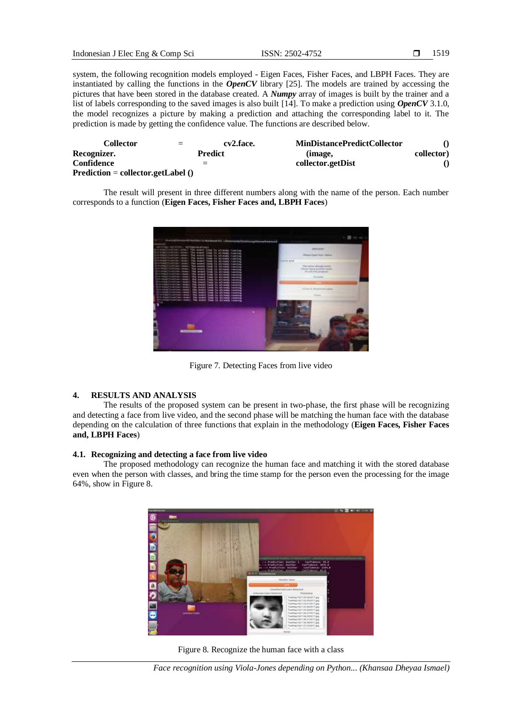system, the following recognition models employed - Eigen Faces, Fisher Faces, and LBPH Faces. They are instantiated by calling the functions in the *OpenCV* library [25]. The models are trained by accessing the pictures that have been stored in the database created. A *Numpy* array of images is built by the trainer and a list of labels corresponding to the saved images is also built [14]. To make a prediction using *OpenCV* 3.1.0, the model recognizes a picture by making a prediction and attaching the corresponding label to it. The prediction is made by getting the confidence value. The functions are described below.

| Collector                           | $=$ | cv2.face. | <b>MinDistancePredictCollector</b> |            |
|-------------------------------------|-----|-----------|------------------------------------|------------|
| Recognizer.                         |     | Predict   | (image,                            | collector) |
| Confidence                          | $=$ |           | collector.getDist                  |            |
| $Prediction = collector.getLabel()$ |     |           |                                    |            |

The result will present in three different numbers along with the name of the person. Each number corresponds to a function (**Eigen Faces, Fisher Faces and, LBPH Faces**)



Figure 7. Detecting Faces from live video

# **4. RESULTS AND ANALYSIS**

The results of the proposed system can be present in two-phase, the first phase will be recognizing and detecting a face from live video, and the second phase will be matching the human face with the database depending on the calculation of three functions that explain in the methodology (**Eigen Faces, Fisher Faces and, LBPH Faces**)

# **4.1. Recognizing and detecting a face from live video**

The proposed methodology can recognize the human face and matching it with the stored database even when the person with classes, and bring the time stamp for the person even the processing for the image 64%, show in Figure 8.



Figure 8. Recognize the human face with a class

*Face recognition using Viola-Jones depending on Python... (Khansaa Dheyaa Ismael)*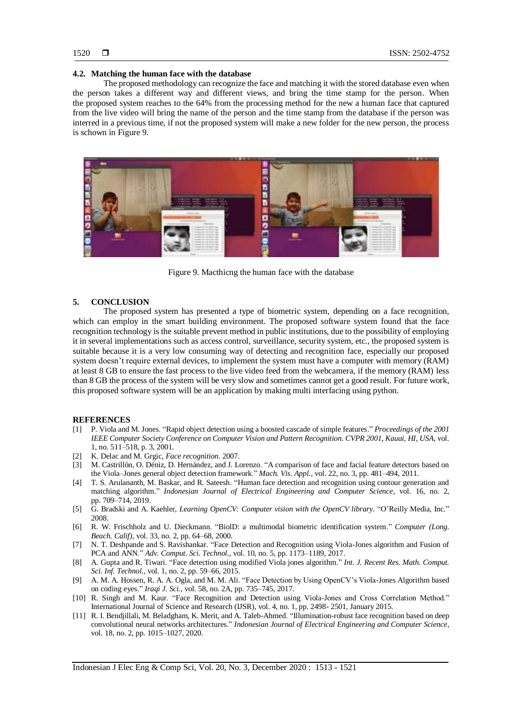#### **4.2. Matching the human face with the database**

The proposed methodology can recognize the face and matching it with the stored database even when the person takes a different way and different views, and bring the time stamp for the person. When the proposed system reaches to the 64% from the processing method for the new a human face that captured from the live video will bring the name of the person and the time stamp from the database if the person was interred in a previous time, if not the proposed system will make a new folder for the new person, the process is schown in Figure 9.



Figure 9. Macthicng the human face with the database

#### **5. CONCLUSION**

The proposed system has presented a type of biometric system, depending on a face recognition, which can employ in the smart building environment. The proposed software system found that the face recognition technology is the suitable prevent method in public institutions, due to the possibility of employing it in several implementations such as access control, surveillance, security system, etc., the proposed system is suitable because it is a very low consuming way of detecting and recognition face, especially our proposed system doesn't require external devices, to implement the system must have a computer with memory (RAM) at least 8 GB to ensure the fast process to the live video feed from the webcamera, if the memory (RAM) less than 8 GB the process of the system will be very slow and sometimes cannot get a good result. For future work, this proposed software system will be an application by making multi interfacing using python.

#### **REFERENCES**

- [1] P. Viola and M. Jones. "Rapid object detection using a boosted cascade of simple features." *Proceedings of the 2001 IEEE Computer Society Conference on Computer Vision and Pattern Recognition. CVPR 2001, Kauai, HI, USA,* vol. 1, no. 511–518, p. 3, 2001.
- [2] K. Delac and M. Grgic, *Face recognition*. 2007.
- [3] M. Castrillón, O. Déniz, D. Hernández, and J. Lorenzo. "A comparison of face and facial feature detectors based on the Viola–Jones general object detection framework." *Mach. Vis. Appl.*, vol. 22, no. 3, pp. 481–494, 2011.
- [4] T. S. Arulananth, M. Baskar, and R. Sateesh. "Human face detection and recognition using contour generation and matching algorithm." *Indonesian Journal of Electrical Engineering and Computer Science*, vol. 16, no. 2, pp. 709–714, 2019.
- [5] G. Bradski and A. Kaehler, *Learning OpenCV: Computer vision with the OpenCV library*. "O'Reilly Media, Inc." 2008.
- [6] R. W. Frischholz and U. Dieckmann. "BiolD: a multimodal biometric identification system." *Computer (Long. Beach. Calif)*, vol. 33, no. 2, pp. 64–68, 2000.
- [7] N. T. Deshpande and S. Ravishankar. "Face Detection and Recognition using Viola-Jones algorithm and Fusion of PCA and ANN." *Adv. Comput. Sci. Technol.*, vol. 10, no. 5, pp. 1173–1189, 2017.
- [8] A. Gupta and R. Tiwari. "Face detection using modified Viola jones algorithm." *Int. J. Recent Res. Math. Comput. Sci. Inf. Technol.*, vol. 1, no. 2, pp. 59–66, 2015.
- [9] A. M. A. Hossen, R. A. A. Ogla, and M. M. Ali. "Face Detection by Using OpenCV's Viola-Jones Algorithm based on coding eyes." *Iraqi J. Sci.*, vol. 58, no. 2A, pp. 735–745, 2017.
- [10] R. Singh and M. Kaur. "Face Recognition and Detection using Viola-Jones and Cross Correlation Method." International Journal of Science and Research (IJSR), vol. 4, no. 1, pp. 2498- 2501, January 2015.
- [11] R. I. Bendjillali, M. Beladgham, K. Merit, and A. Taleb-Ahmed. "Illumination-robust face recognition based on deep convolutional neural networks architectures." *Indonesian Journal of Electrical Engineering and Computer Science*, vol. 18, no. 2, pp. 1015–1027, 2020.